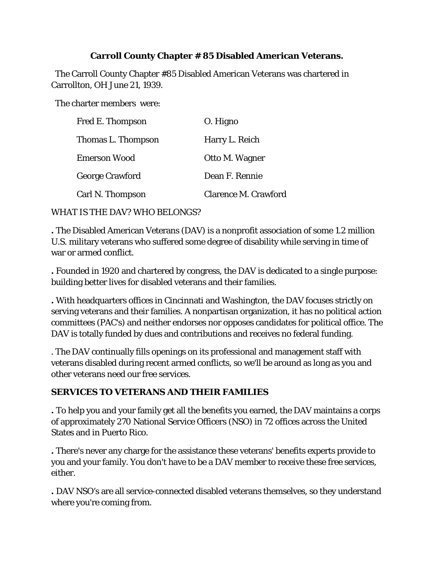## **Carroll County Chapter # 85 Disabled American Veterans.**

 The Carroll County Chapter #85 Disabled American Veterans was chartered in Carrollton, OH June 21, 1939.

The charter members were:

| Fred E. Thompson       | O. Higno                    |
|------------------------|-----------------------------|
| Thomas L. Thompson     | Harry L. Reich              |
| Emerson Wood           | Otto M. Wagner              |
| <b>George Crawford</b> | Dean F. Rennie              |
| Carl N. Thompson       | <b>Clarence M. Crawford</b> |

WHAT IS THE DAV? WHO BELONGS?

**.** The Disabled American Veterans (DAV) is a nonprofit association of some 1.2 million U.S. military veterans who suffered some degree of disability while serving in time of war or armed conflict.

**.** Founded in 1920 and chartered by congress, the DAV is dedicated to a single purpose: building better lives for disabled veterans and their families.

**.** With headquarters offices in Cincinnati and Washington, the DAV focuses strictly on serving veterans and their families. A nonpartisan organization, it has no political action committees (PAC's) and neither endorses nor opposes candidates for political office. The DAV is totally funded by dues and contributions and receives no federal funding.

. The DAV continually fills openings on its professional and management staff with veterans disabled during recent armed conflicts, so we'll be around as long as you and other veterans need our free services.

# **SERVICES TO VETERANS AND THEIR FAMILIES**

**.** To help you and your family get all the benefits you earned, the DAV maintains a corps of approximately 270 National Service Officers (NSO) in 72 offices across the United States and in Puerto Rico.

**.** There's never any charge for the assistance these veterans' benefits experts provide to you and your family. You don't have to be a DAV member to receive these free services, either.

**.** DAV NSO's are all service-connected disabled veterans themselves, so they understand where you're coming from.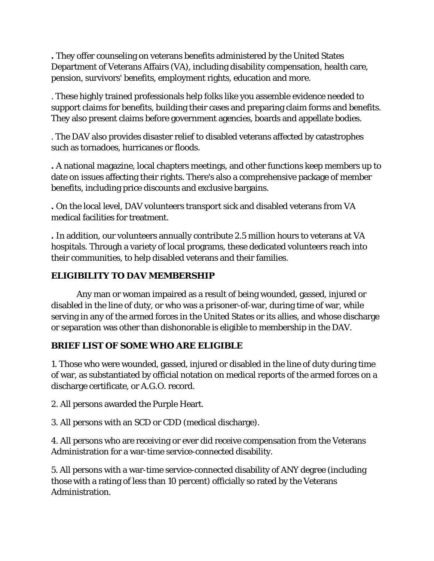**.** They offer counseling on veterans benefits administered by the United States Department of Veterans Affairs (VA), including disability compensation, health care, pension, survivors' benefits, employment rights, education and more.

. These highly trained professionals help folks like you assemble evidence needed to support claims for benefits, building their cases and preparing claim forms and benefits. They also present claims before government agencies, boards and appellate bodies.

. The DAV also provides disaster relief to disabled veterans affected by catastrophes such as tornadoes, hurricanes or floods.

**.** A national magazine, local chapters meetings, and other functions keep members up to date on issues affecting their rights. There's also a comprehensive package of member benefits, including price discounts and exclusive bargains.

**.** On the local level, DAV volunteers transport sick and disabled veterans from VA medical facilities for treatment.

**.** In addition, our volunteers annually contribute 2.5 million hours to veterans at VA hospitals. Through a variety of local programs, these dedicated volunteers reach into their communities, to help disabled veterans and their families.

# **ELIGIBILITY TO DAV MEMBERSHIP**

Any man or woman impaired as a result of being wounded, gassed, injured or disabled in the line of duty, or who was a prisoner-of-war, during time of war, while serving in any of the armed forces in the United States or its allies, and whose discharge or separation was other than dishonorable is eligible to membership in the DAV.

## *BRIEF LIST OF SOME WHO ARE ELIGIBLE*

1. Those who were wounded, gassed, injured or disabled in the line of duty during time of war, as substantiated by official notation on medical reports of the armed forces on a discharge certificate, or A.G.O. record.

2. All persons awarded the Purple Heart.

3. All persons with an SCD or CDD (medical discharge).

4. All persons who are receiving or ever did receive compensation from the Veterans Administration for a war-time service-connected disability.

5. All persons with a war-time service-connected disability of ANY degree (including those with a rating of less than 10 percent) officially so rated by the Veterans Administration.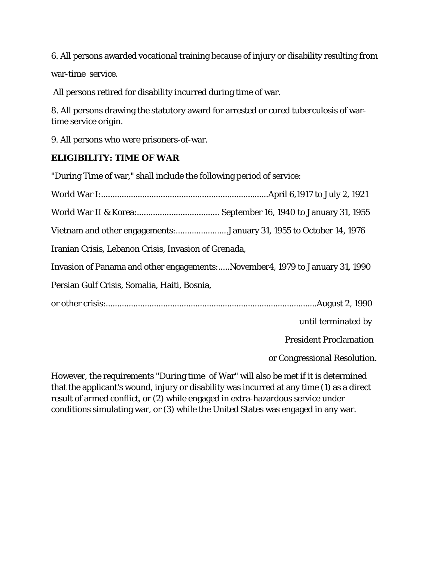6. All persons awarded vocational training because of injury or disability resulting from

war-time service.

All persons retired for disability incurred during time of war.

8. All persons drawing the statutory award for arrested or cured tuberculosis of wartime service origin.

9. All persons who were prisoners-of-war.

## *ELIGIBILITY: TIME OF WAR*

"During Time of war," shall include the following period of service:

World War I:.........................................................................April 6,1917 to July 2, 1921 World War II & Korea:.................................... September 16, 1940 to January 31, 1955 Vietnam and other engagements:.......................January 31, 1955 to October 14, 1976 Iranian Crisis, Lebanon Crisis, Invasion of Grenada, Invasion of Panama and other engagements:.....November4, 1979 to January 31, 1990 Persian Gulf Crisis, Somalia, Haiti, Bosnia, or other crisis:............................................................................................August 2, 1990 until terminated by President Proclamation

or Congressional Resolution.

However, the requirements "During time of War" will also be met if it is determined that the applicant's wound, injury or disability was incurred at any time (1) as a direct result of armed conflict, or (2) while engaged in extra-hazardous service under conditions simulating war, or (3) while the United States was engaged in any war.